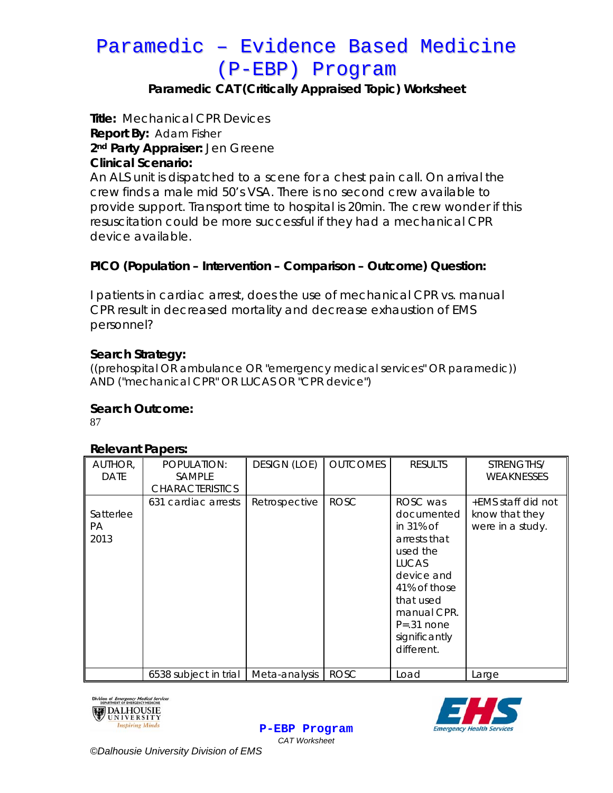# Paramedic – Evidence Based Medicine (P-EBP) Program

# **Paramedic CAT (Critically Appraised Topic) Worksheet**

**Title:** Mechanical CPR Devices **Report By:** Adam Fisher **2nd Party Appraiser:** Jen Greene **Clinical Scenario:** 

An ALS unit is dispatched to a scene for a chest pain call. On arrival the crew finds a male mid 50's VSA. There is no second crew available to provide support. Transport time to hospital is 20min. The crew wonder if this resuscitation could be more successful if they had a mechanical CPR device available.

# **PICO (Population – Intervention – Comparison – Outcome) Question:**

I patients in cardiac arrest, does the use of mechanical CPR vs. manual CPR result in decreased mortality and decrease exhaustion of EMS personnel?

#### **Search Strategy:**

((prehospital OR ambulance OR "emergency medical services" OR paramedic)) AND ("mechanical CPR" OR LUCAS OR "CPR device")

#### **Search Outcome:**

87

#### **Relevant Papers:**

| AUTHOR,<br><b>DATE</b>  | POPULATION:<br><b>SAMPLE</b><br><b>CHARACTERISTICS</b> | <b>DESIGN (LOE)</b> | <b>OUTCOMES</b> | <b>RESULTS</b>                                                                                                                                                                           | STRENGTHS/<br><b>WEAKNESSES</b>                          |
|-------------------------|--------------------------------------------------------|---------------------|-----------------|------------------------------------------------------------------------------------------------------------------------------------------------------------------------------------------|----------------------------------------------------------|
| Satterlee<br>РA<br>2013 | 631 cardiac arrests                                    | Retrospective       | <b>ROSC</b>     | ROSC was<br>documented<br>in 31% of<br>arrests that<br>used the<br><b>LUCAS</b><br>device and<br>41% of those<br>that used<br>manual CPR.<br>$P=.31$ none<br>significantly<br>different. | +EMS staff did not<br>know that they<br>were in a study. |
|                         | 6538 subject in trial                                  | Meta-analysis       | <b>ROSC</b>     | Load                                                                                                                                                                                     | Large                                                    |

**P-EBP Program**





*CAT Worksheet ©Dalhousie University Division of EMS*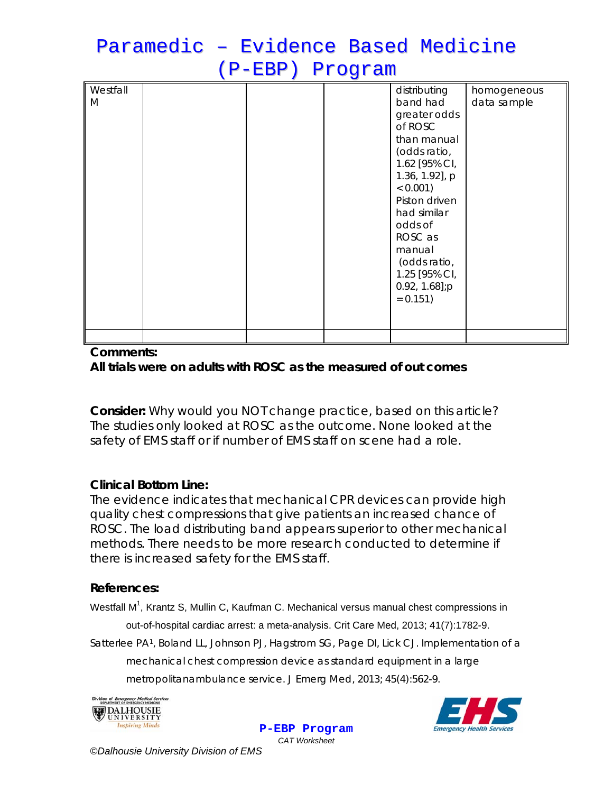# Paramedic – Evidence Based Medicine (P-EBP) Program

| Westfall<br>M |  | distributing<br>band had<br>greater odds<br>of ROSC<br>than manual<br>(odds ratio,<br>1.62 [95% CI,<br>1.36, 1.92], p<br>$< 0.001$ )<br>Piston driven<br>had similar<br>odds of<br>ROSC as | homogeneous<br>data sample |
|---------------|--|--------------------------------------------------------------------------------------------------------------------------------------------------------------------------------------------|----------------------------|
|               |  | manual<br>(odds ratio,<br>1.25 [95% CI,<br>$0.92, 1.68$ ];p<br>$= 0.151$                                                                                                                   |                            |
|               |  |                                                                                                                                                                                            |                            |

#### **Comments: All trials were on adults with ROSC as the measured of out comes**

**Consider:** *Why would you NOT change practice, based on this article?* The studies only looked at ROSC as the outcome. None looked at the safety of EMS staff or if number of EMS staff on scene had a role.

# **Clinical Bottom Line:**

The evidence indicates that mechanical CPR devices can provide high quality chest compressions that give patients an increased chance of ROSC. The load distributing band appears superior to other mechanical methods. There needs to be more research conducted to determine if there is increased safety for the EMS staff.

# **References:**

Westfall M<sup>1</sup>, Krantz S, Mullin C, Kaufman C. Mechanical versus manual chest compressions in out-of-hospital cardiac arrest: a meta-analysis. Crit Care Med, 2013; 41(7):1782-9. Satterlee PA1, Boland LL, Johnson PJ, Hagstrom SG, Page DI, Lick CJ. Implementation of a mechanical chest compression device as standard equipment in a large

**P-EBP Program**

metropolitanambulance service. J Emerg Med, 2013; 45(4):562-9.



*CAT Worksheet ©Dalhousie University Division of EMS*